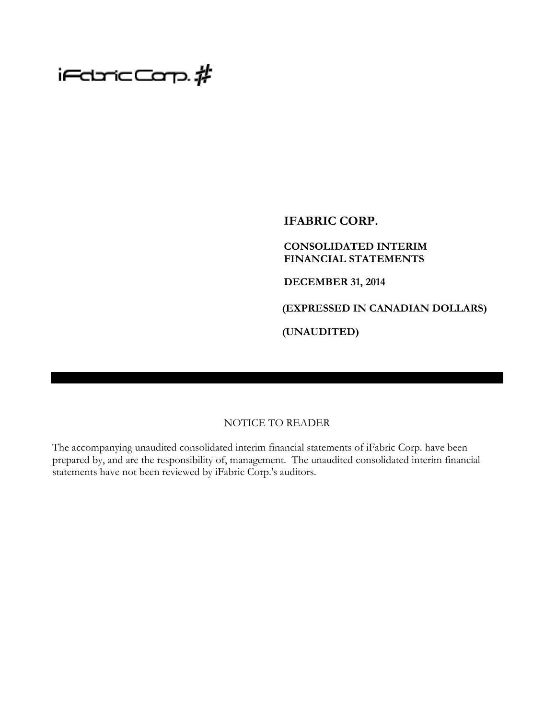# $i$ FdricCarp. $\rlap{/}$ #

**IFABRIC CORP.**

### **CONSOLIDATED INTERIM FINANCIAL STATEMENTS**

**DECEMBER 31, 2014**

**(EXPRESSED IN CANADIAN DOLLARS)**

**(UNAUDITED)**

### NOTICE TO READER

The accompanying unaudited consolidated interim financial statements of iFabric Corp. have been prepared by, and are the responsibility of, management. The unaudited consolidated interim financial statements have not been reviewed by iFabric Corp.'s auditors.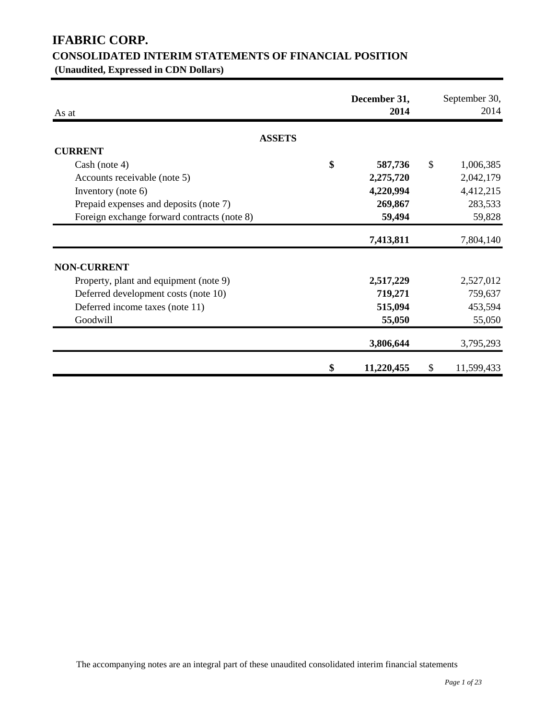## **IFABRIC CORP. CONSOLIDATED INTERIM STATEMENTS OF FINANCIAL POSITION**

**(Unaudited, Expressed in CDN Dollars)**

| As at                                       | December 31,<br>2014 | September 30,<br>2014 |
|---------------------------------------------|----------------------|-----------------------|
| <b>ASSETS</b>                               |                      |                       |
| <b>CURRENT</b>                              |                      |                       |
| Cash (note 4)                               | \$<br>587,736        | \$<br>1,006,385       |
| Accounts receivable (note 5)                | 2,275,720            | 2,042,179             |
| Inventory (note 6)                          | 4,220,994            | 4,412,215             |
| Prepaid expenses and deposits (note 7)      | 269,867              | 283,533               |
| Foreign exchange forward contracts (note 8) | 59,494               | 59,828                |
|                                             | 7,413,811            | 7,804,140             |
| <b>NON-CURRENT</b>                          |                      |                       |
| Property, plant and equipment (note 9)      | 2,517,229            | 2,527,012             |
| Deferred development costs (note 10)        | 719,271              | 759,637               |
| Deferred income taxes (note 11)             | 515,094              | 453,594               |
| Goodwill                                    | 55,050               | 55,050                |
|                                             | 3,806,644            | 3,795,293             |
|                                             | \$<br>11,220,455     | \$<br>11,599,433      |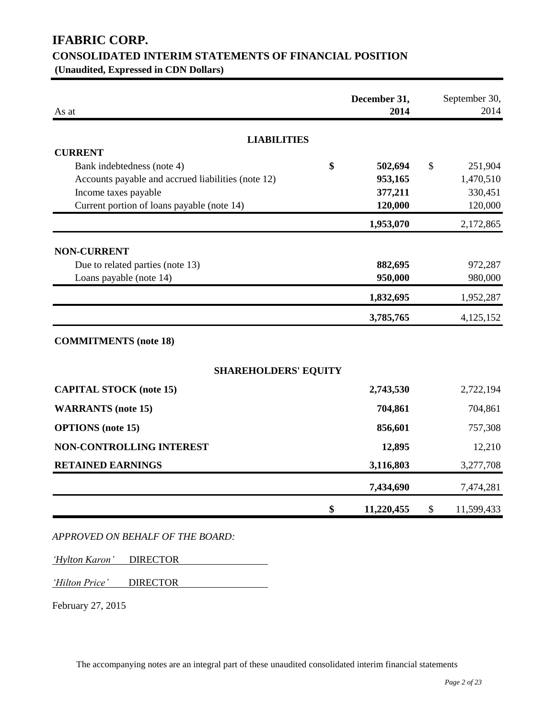## **IFABRIC CORP. CONSOLIDATED INTERIM STATEMENTS OF FINANCIAL POSITION**

**(Unaudited, Expressed in CDN Dollars)**

| As at                                              | December 31,<br>2014 | September 30,<br>2014    |
|----------------------------------------------------|----------------------|--------------------------|
| <b>LIABILITIES</b>                                 |                      |                          |
| <b>CURRENT</b>                                     |                      |                          |
| \$<br>Bank indebtedness (note 4)                   | 502,694              | $\mathcal{S}$<br>251,904 |
| Accounts payable and accrued liabilities (note 12) | 953,165              | 1,470,510                |
| Income taxes payable                               | 377,211              | 330,451                  |
| Current portion of loans payable (note 14)         | 120,000              | 120,000                  |
|                                                    | 1,953,070            | 2,172,865                |
| <b>NON-CURRENT</b>                                 |                      |                          |
| Due to related parties (note 13)                   | 882,695              | 972,287                  |
| Loans payable (note 14)                            | 950,000              | 980,000                  |
|                                                    | 1,832,695            | 1,952,287                |
|                                                    | 3,785,765            | 4,125,152                |
| <b>COMMITMENTS</b> (note 18)                       |                      |                          |
| <b>SHAREHOLDERS' EQUITY</b>                        |                      |                          |
| <b>CAPITAL STOCK</b> (note 15)                     | 2,743,530            | 2,722,194                |
| <b>WARRANTS</b> (note 15)                          | 704,861              | 704,861                  |
| <b>OPTIONS</b> (note 15)                           | 856,601              | 757,308                  |
| NON-CONTROLLING INTEREST                           | 12,895               | 12,210                   |
| <b>RETAINED EARNINGS</b>                           | 3,116,803            | 3,277,708                |
|                                                    | 7,434,690            | 7,474,281                |
| \$                                                 | 11,220,455           | \$<br>11,599,433         |

*APPROVED ON BEHALF OF THE BOARD:*

*'Hylton Karon'* DIRECTOR

*'Hilton Price'* DIRECTOR

February 27, 2015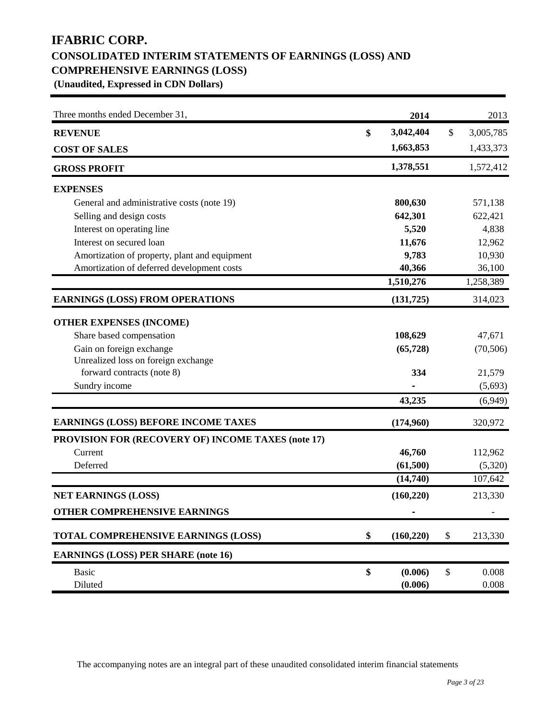## **IFABRIC CORP. CONSOLIDATED INTERIM STATEMENTS OF EARNINGS (LOSS) AND COMPREHENSIVE EARNINGS (LOSS)**

**(Unaudited, Expressed in CDN Dollars)**

| Three months ended December 31,                    | 2014             | 2013            |
|----------------------------------------------------|------------------|-----------------|
| <b>REVENUE</b>                                     | \$<br>3,042,404  | \$<br>3,005,785 |
| <b>COST OF SALES</b>                               | 1,663,853        | 1,433,373       |
| <b>GROSS PROFIT</b>                                | 1,378,551        | 1,572,412       |
| <b>EXPENSES</b>                                    |                  |                 |
| General and administrative costs (note 19)         | 800,630          | 571,138         |
| Selling and design costs                           | 642,301          | 622,421         |
| Interest on operating line                         | 5,520            | 4,838           |
| Interest on secured loan                           | 11,676           | 12,962          |
| Amortization of property, plant and equipment      | 9,783            | 10,930          |
| Amortization of deferred development costs         | 40,366           | 36,100          |
|                                                    | 1,510,276        | 1,258,389       |
| <b>EARNINGS (LOSS) FROM OPERATIONS</b>             | (131, 725)       | 314,023         |
| <b>OTHER EXPENSES (INCOME)</b>                     |                  |                 |
| Share based compensation                           | 108,629          | 47,671          |
| Gain on foreign exchange                           | (65, 728)        | (70, 506)       |
| Unrealized loss on foreign exchange                |                  |                 |
| forward contracts (note 8)                         | 334              | 21,579          |
| Sundry income                                      |                  | (5,693)         |
|                                                    | 43,235           | (6,949)         |
| <b>EARNINGS (LOSS) BEFORE INCOME TAXES</b>         | (174,960)        | 320,972         |
| PROVISION FOR (RECOVERY OF) INCOME TAXES (note 17) |                  |                 |
| Current                                            | 46,760           | 112,962         |
| Deferred                                           | (61,500)         | (5,320)         |
|                                                    | (14,740)         | 107,642         |
| <b>NET EARNINGS (LOSS)</b>                         | (160, 220)       | 213,330         |
| <b>OTHER COMPREHENSIVE EARNINGS</b>                |                  |                 |
| TOTAL COMPREHENSIVE EARNINGS (LOSS)                | \$<br>(160, 220) | \$<br>213,330   |
| <b>EARNINGS (LOSS) PER SHARE (note 16)</b>         |                  |                 |
| <b>Basic</b>                                       | \$<br>(0.006)    | \$<br>0.008     |
| Diluted                                            | (0.006)          | 0.008           |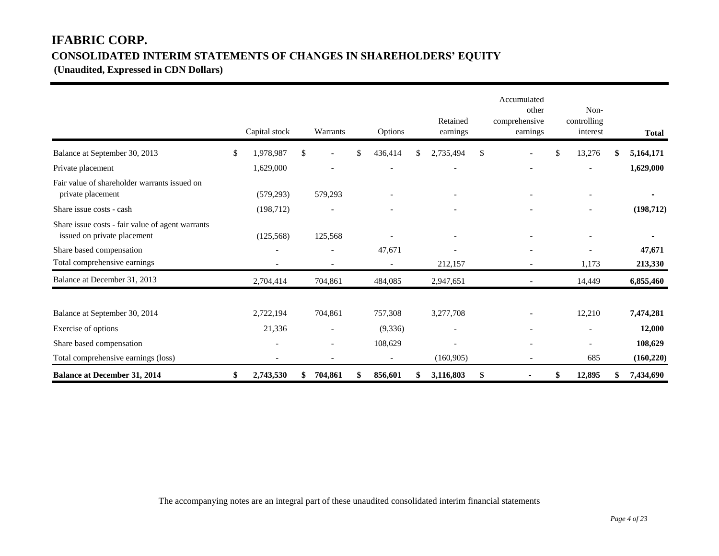### **IFABRIC CORP. CONSOLIDATED INTERIM STATEMENTS OF CHANGES IN SHAREHOLDERS' EQUITY**

**(Unaudited, Expressed in CDN Dollars)** 

|                                                                                 | Capital stock            | Warrants                       | Options                  | Retained<br>earnings     | Accumulated<br>other<br>comprehensive<br>earnings | Non-<br>controlling<br>interest | <b>Total</b>    |
|---------------------------------------------------------------------------------|--------------------------|--------------------------------|--------------------------|--------------------------|---------------------------------------------------|---------------------------------|-----------------|
| Balance at September 30, 2013                                                   | \$<br>1,978,987          | \$<br>$\overline{\phantom{a}}$ | \$<br>436,414            | \$<br>2,735,494          | \$                                                | \$<br>13,276                    | \$<br>5,164,171 |
| Private placement                                                               | 1,629,000                |                                |                          |                          |                                                   | $\overline{\phantom{0}}$        | 1,629,000       |
| Fair value of shareholder warrants issued on<br>private placement               | (579, 293)               | 579,293                        |                          |                          |                                                   | $\overline{\phantom{a}}$        |                 |
| Share issue costs - cash                                                        | (198, 712)               |                                |                          |                          |                                                   | $\overline{\phantom{0}}$        | (198, 712)      |
| Share issue costs - fair value of agent warrants<br>issued on private placement | (125,568)                | 125,568                        |                          |                          |                                                   |                                 |                 |
| Share based compensation                                                        | $\overline{\phantom{a}}$ | $\overline{\phantom{a}}$       | 47,671                   |                          |                                                   |                                 | 47,671          |
| Total comprehensive earnings                                                    |                          | $\overline{a}$                 |                          | 212,157                  | $\overline{a}$                                    | 1,173                           | 213,330         |
| Balance at December 31, 2013                                                    | 2,704,414                | 704,861                        | 484,085                  | 2,947,651                |                                                   | 14,449                          | 6,855,460       |
| Balance at September 30, 2014                                                   | 2,722,194                | 704,861                        | 757,308                  | 3,277,708                |                                                   | 12,210                          | 7,474,281       |
| Exercise of options                                                             | 21,336                   | $\overline{\phantom{a}}$       | (9, 336)                 | $\overline{\phantom{a}}$ |                                                   | $\overline{\phantom{a}}$        | 12,000          |
| Share based compensation                                                        | $\overline{\phantom{a}}$ | $\overline{\phantom{a}}$       | 108,629                  |                          | $\overline{\phantom{a}}$                          | $\overline{\phantom{a}}$        | 108,629         |
| Total comprehensive earnings (loss)                                             |                          |                                | $\overline{\phantom{a}}$ | (160, 905)               | $\overline{a}$                                    | 685                             | (160, 220)      |
| <b>Balance at December 31, 2014</b>                                             | \$<br>2,743,530          | 704,861                        | 856,601                  | 3,116,803                | \$                                                | 12,895                          | \$<br>7,434,690 |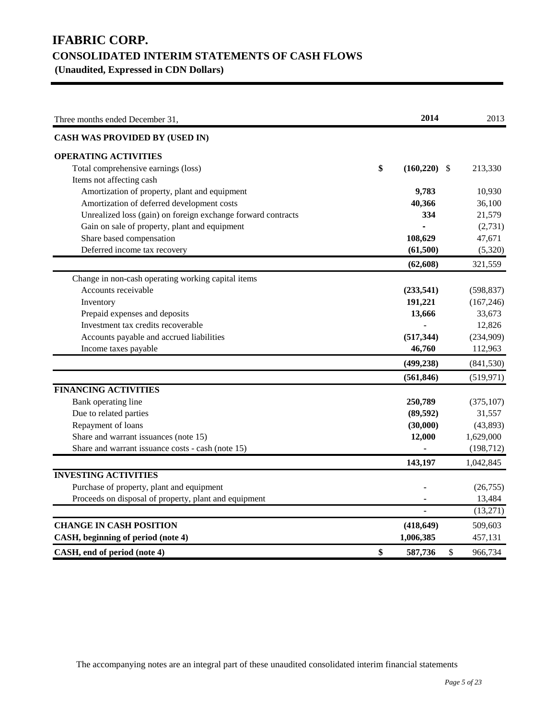### **IFABRIC CORP. CONSOLIDATED INTERIM STATEMENTS OF CASH FLOWS (Unaudited, Expressed in CDN Dollars)**

| Three months ended December 31,                              | 2014             | 2013          |
|--------------------------------------------------------------|------------------|---------------|
| <b>CASH WAS PROVIDED BY (USED IN)</b>                        |                  |               |
| <b>OPERATING ACTIVITIES</b>                                  |                  |               |
| Total comprehensive earnings (loss)                          | \$<br>(160, 220) | \$<br>213,330 |
| Items not affecting cash                                     |                  |               |
| Amortization of property, plant and equipment                | 9,783            | 10,930        |
| Amortization of deferred development costs                   | 40,366           | 36,100        |
| Unrealized loss (gain) on foreign exchange forward contracts | 334              | 21,579        |
| Gain on sale of property, plant and equipment                |                  | (2,731)       |
| Share based compensation                                     | 108,629          | 47,671        |
| Deferred income tax recovery                                 | (61,500)         | (5,320)       |
|                                                              | (62, 608)        | 321,559       |
| Change in non-cash operating working capital items           |                  |               |
| Accounts receivable                                          | (233,541)        | (598, 837)    |
| Inventory                                                    | 191,221          | (167, 246)    |
| Prepaid expenses and deposits                                | 13,666           | 33,673        |
| Investment tax credits recoverable                           |                  | 12,826        |
| Accounts payable and accrued liabilities                     | (517, 344)       | (234,909)     |
| Income taxes payable                                         | 46,760           | 112,963       |
|                                                              | (499, 238)       | (841, 530)    |
|                                                              | (561, 846)       | (519, 971)    |
| <b>FINANCING ACTIVITIES</b>                                  |                  |               |
| Bank operating line                                          | 250,789          | (375, 107)    |
| Due to related parties                                       | (89, 592)        | 31,557        |
| Repayment of loans                                           | (30,000)         | (43,893)      |
| Share and warrant issuances (note 15)                        | 12,000           | 1,629,000     |
| Share and warrant issuance costs - cash (note 15)            |                  | (198, 712)    |
|                                                              | 143,197          | 1,042,845     |
| <b>INVESTING ACTIVITIES</b>                                  |                  |               |
| Purchase of property, plant and equipment                    |                  | (26, 755)     |
| Proceeds on disposal of property, plant and equipment        |                  | 13,484        |
|                                                              |                  | (13,271)      |
| <b>CHANGE IN CASH POSITION</b>                               | (418, 649)       | 509,603       |
| CASH, beginning of period (note 4)                           | 1,006,385        | 457,131       |
| CASH, end of period (note 4)                                 | \$<br>587,736    | \$<br>966,734 |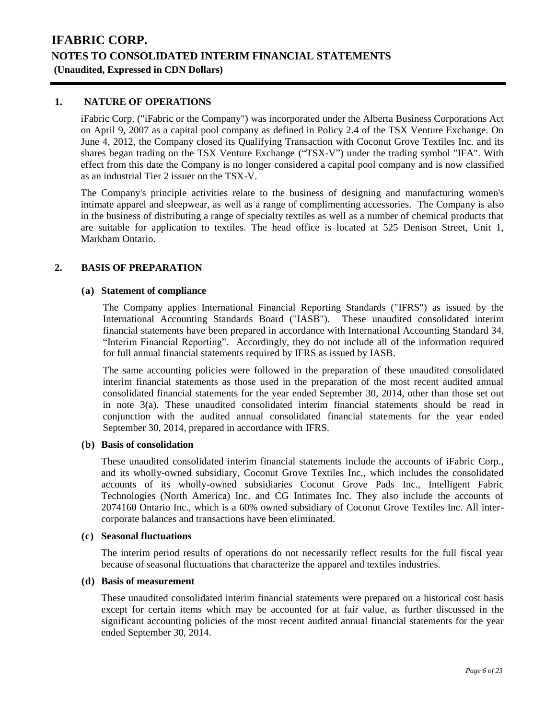### **1. NATURE OF OPERATIONS**

iFabric Corp. ("iFabric or the Company") was incorporated under the Alberta Business Corporations Act on April 9, 2007 as a capital pool company as defined in Policy 2.4 of the TSX Venture Exchange. On June 4, 2012, the Company closed its Qualifying Transaction with Coconut Grove Textiles Inc. and its shares began trading on the TSX Venture Exchange ("TSX-V") under the trading symbol "IFA". With effect from this date the Company is no longer considered a capital pool company and is now classified as an industrial Tier 2 issuer on the TSX-V.

The Company's principle activities relate to the business of designing and manufacturing women's intimate apparel and sleepwear, as well as a range of complimenting accessories. The Company is also in the business of distributing a range of specialty textiles as well as a number of chemical products that are suitable for application to textiles. The head office is located at 525 Denison Street, Unit 1, Markham Ontario.

### **2. BASIS OF PREPARATION**

### **(a) Statement of compliance**

The Company applies International Financial Reporting Standards ("IFRS") as issued by the International Accounting Standards Board ("IASB"). These unaudited consolidated interim financial statements have been prepared in accordance with International Accounting Standard 34, "Interim Financial Reporting". Accordingly, they do not include all of the information required for full annual financial statements required by IFRS as issued by IASB.

The same accounting policies were followed in the preparation of these unaudited consolidated interim financial statements as those used in the preparation of the most recent audited annual consolidated financial statements for the year ended September 30, 2014, other than those set out in note 3(a). These unaudited consolidated interim financial statements should be read in conjunction with the audited annual consolidated financial statements for the year ended September 30, 2014, prepared in accordance with IFRS.

#### **(b) Basis of consolidation**

These unaudited consolidated interim financial statements include the accounts of iFabric Corp., and its wholly-owned subsidiary, Coconut Grove Textiles Inc., which includes the consolidated accounts of its wholly-owned subsidiaries Coconut Grove Pads Inc., Intelligent Fabric Technologies (North America) Inc. and CG Intimates Inc. They also include the accounts of 2074160 Ontario Inc., which is a 60% owned subsidiary of Coconut Grove Textiles Inc. All intercorporate balances and transactions have been eliminated.

#### **(c) Seasonal fluctuations**

The interim period results of operations do not necessarily reflect results for the full fiscal year because of seasonal fluctuations that characterize the apparel and textiles industries.

#### **(d) Basis of measurement**

These unaudited consolidated interim financial statements were prepared on a historical cost basis except for certain items which may be accounted for at fair value, as further discussed in the significant accounting policies of the most recent audited annual financial statements for the year ended September 30, 2014.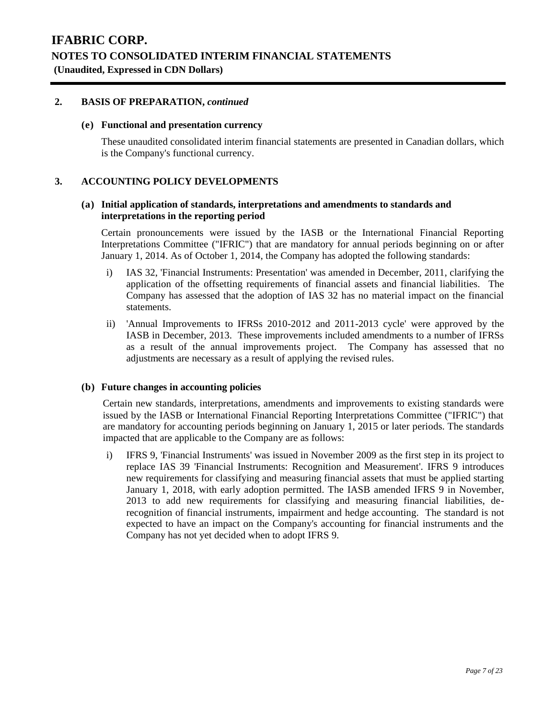### **2. BASIS OF PREPARATION,** *continued*

### **(e) Functional and presentation currency**

These unaudited consolidated interim financial statements are presented in Canadian dollars, which is the Company's functional currency.

### **3. ACCOUNTING POLICY DEVELOPMENTS**

### **(a) Initial application of standards, interpretations and amendments to standards and interpretations in the reporting period**

Certain pronouncements were issued by the IASB or the International Financial Reporting Interpretations Committee ("IFRIC") that are mandatory for annual periods beginning on or after January 1, 2014. As of October 1, 2014, the Company has adopted the following standards:

- i) IAS 32, 'Financial Instruments: Presentation' was amended in December, 2011, clarifying the application of the offsetting requirements of financial assets and financial liabilities. The Company has assessed that the adoption of IAS 32 has no material impact on the financial statements.
- ii) 'Annual Improvements to IFRSs 2010-2012 and 2011-2013 cycle' were approved by the IASB in December, 2013. These improvements included amendments to a number of IFRSs as a result of the annual improvements project. The Company has assessed that no adjustments are necessary as a result of applying the revised rules.

### **(b) Future changes in accounting policies**

Certain new standards, interpretations, amendments and improvements to existing standards were issued by the IASB or International Financial Reporting Interpretations Committee ("IFRIC") that are mandatory for accounting periods beginning on January 1, 2015 or later periods. The standards impacted that are applicable to the Company are as follows:

i) IFRS 9, 'Financial Instruments' was issued in November 2009 as the first step in its project to replace IAS 39 'Financial Instruments: Recognition and Measurement'. IFRS 9 introduces new requirements for classifying and measuring financial assets that must be applied starting January 1, 2018, with early adoption permitted. The IASB amended IFRS 9 in November, 2013 to add new requirements for classifying and measuring financial liabilities, derecognition of financial instruments, impairment and hedge accounting. The standard is not expected to have an impact on the Company's accounting for financial instruments and the Company has not yet decided when to adopt IFRS 9.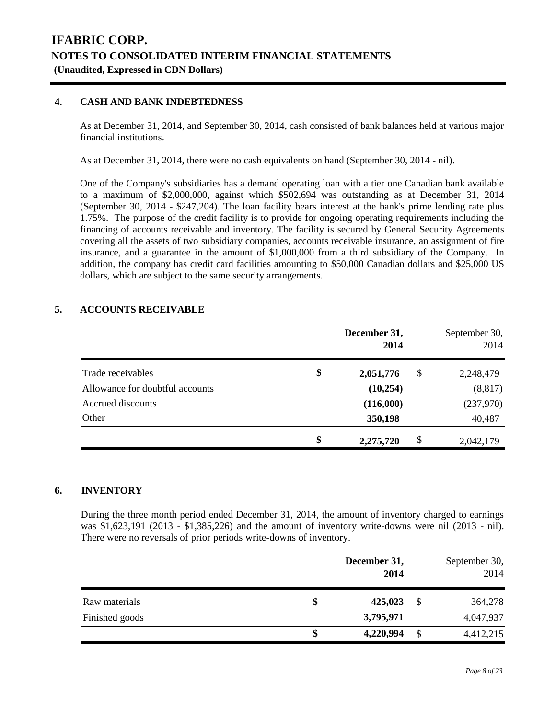### **4. CASH AND BANK INDEBTEDNESS**

As at December 31, 2014, and September 30, 2014, cash consisted of bank balances held at various major financial institutions.

As at December 31, 2014, there were no cash equivalents on hand (September 30, 2014 - nil).

One of the Company's subsidiaries has a demand operating loan with a tier one Canadian bank available to a maximum of \$2,000,000, against which \$502,694 was outstanding as at December 31, 2014 (September 30, 2014 - \$247,204). The loan facility bears interest at the bank's prime lending rate plus 1.75%. The purpose of the credit facility is to provide for ongoing operating requirements including the financing of accounts receivable and inventory. The facility is secured by General Security Agreements covering all the assets of two subsidiary companies, accounts receivable insurance, an assignment of fire insurance, and a guarantee in the amount of \$1,000,000 from a third subsidiary of the Company. In addition, the company has credit card facilities amounting to \$50,000 Canadian dollars and \$25,000 US dollars, which are subject to the same security arrangements.

### **5. ACCOUNTS RECEIVABLE**

|                                 | December 31,<br>2014  | September 30,<br>2014 |
|---------------------------------|-----------------------|-----------------------|
| Trade receivables               | \$<br>2,051,776<br>\$ | 2,248,479             |
| Allowance for doubtful accounts | (10, 254)             | (8, 817)              |
| Accrued discounts               | (116,000)             | (237,970)             |
| Other                           | 350,198               | 40,487                |
|                                 | \$<br>\$<br>2,275,720 | 2,042,179             |

### **6. INVENTORY**

During the three month period ended December 31, 2014, the amount of inventory charged to earnings was \$1,623,191 (2013 - \$1,385,226) and the amount of inventory write-downs were nil (2013 - nil). There were no reversals of prior periods write-downs of inventory.

|                | December 31,<br>2014 |    | September 30,<br>2014 |
|----------------|----------------------|----|-----------------------|
| Raw materials  | 425,023              | S  | 364,278               |
| Finished goods | 3,795,971            |    | 4,047,937             |
|                | \$<br>4,220,994      | \$ | 4,412,215             |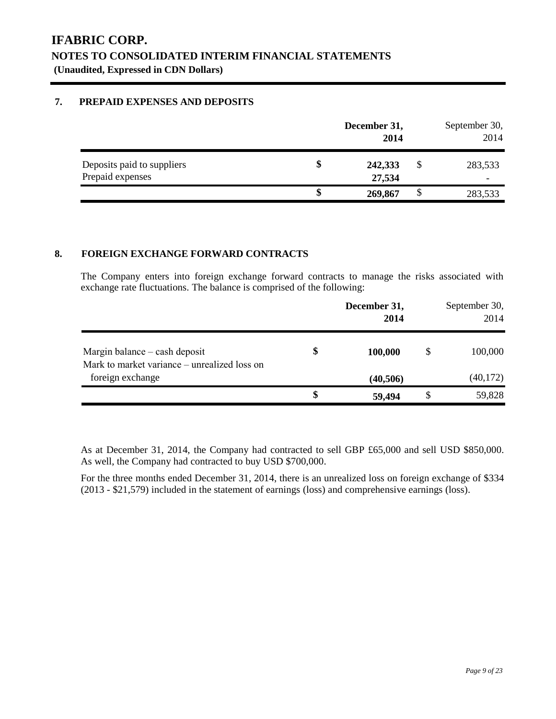### **7. PREPAID EXPENSES AND DEPOSITS**

|                                                |    | December 31,<br>2014 |   | September 30,<br>2014 |
|------------------------------------------------|----|----------------------|---|-----------------------|
| Deposits paid to suppliers<br>Prepaid expenses | ъ  | 242,333<br>27,534    | S | 283,533               |
|                                                | \$ | 269,867              | S | 283,533               |

### **8. FOREIGN EXCHANGE FORWARD CONTRACTS**

The Company enters into foreign exchange forward contracts to manage the risks associated with exchange rate fluctuations. The balance is comprised of the following:

|                                                                           | December 31,<br>2014 | September 30,<br>2014 |
|---------------------------------------------------------------------------|----------------------|-----------------------|
| Margin balance $-\cosh d$<br>Mark to market variance – unrealized loss on | \$<br>100,000        | \$<br>100,000         |
| foreign exchange                                                          | (40, 506)            | (40, 172)             |
|                                                                           | \$<br>59,494         | 59,828                |

As at December 31, 2014, the Company had contracted to sell GBP £65,000 and sell USD \$850,000. As well, the Company had contracted to buy USD \$700,000.

For the three months ended December 31, 2014, there is an unrealized loss on foreign exchange of \$334 (2013 - \$21,579) included in the statement of earnings (loss) and comprehensive earnings (loss).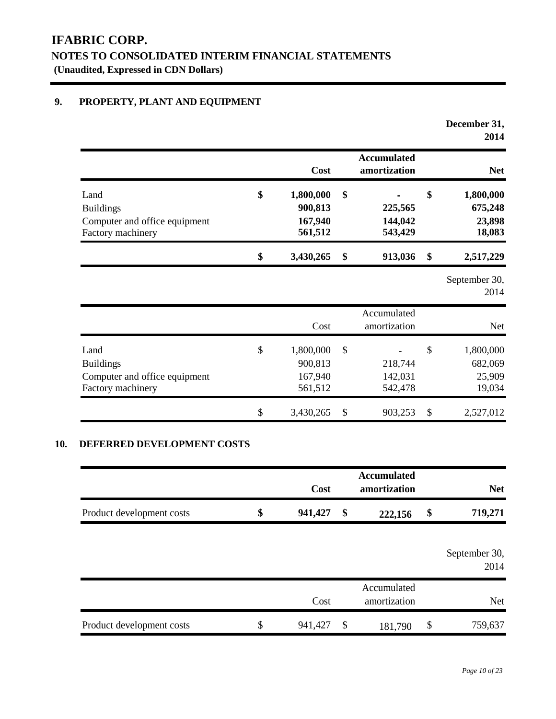### **9. PROPERTY, PLANT AND EQUIPMENT**

|                                                                                |              |                                            |                                     | December 31,<br>2014                           |
|--------------------------------------------------------------------------------|--------------|--------------------------------------------|-------------------------------------|------------------------------------------------|
|                                                                                |              | Cost                                       | <b>Accumulated</b><br>amortization  | <b>Net</b>                                     |
| Land<br><b>Buildings</b><br>Computer and office equipment<br>Factory machinery | \$           | 1,800,000<br>900,813<br>167,940<br>561,512 | \$<br>225,565<br>144,042<br>543,429 | \$<br>1,800,000<br>675,248<br>23,898<br>18,083 |
|                                                                                | \$           | 3,430,265                                  | \$<br>913,036                       | \$<br>2,517,229                                |
|                                                                                |              |                                            |                                     | September 30,<br>2014                          |
|                                                                                |              | Cost                                       | Accumulated<br>amortization         | <b>Net</b>                                     |
| Land<br><b>Buildings</b><br>Computer and office equipment<br>Factory machinery | $\mathbb{S}$ | 1,800,000<br>900,813<br>167,940<br>561,512 | \$<br>218,744<br>142,031<br>542,478 | \$<br>1,800,000<br>682,069<br>25,909<br>19,034 |
|                                                                                | \$           | 3,430,265                                  | \$<br>903,253                       | \$<br>2,527,012                                |

### **10. DEFERRED DEVELOPMENT COSTS**

|                           | Cost          |                           | <b>Accumulated</b><br>amortization | <b>Net</b>            |
|---------------------------|---------------|---------------------------|------------------------------------|-----------------------|
| Product development costs | \$<br>941,427 | \$                        | 222,156                            | \$<br>719,271         |
|                           |               |                           |                                    | September 30,<br>2014 |
|                           | Cost          |                           | Accumulated<br>amortization        | <b>Net</b>            |
| Product development costs | \$<br>941,427 | $\boldsymbol{\mathsf{S}}$ | 181,790                            | \$<br>759,637         |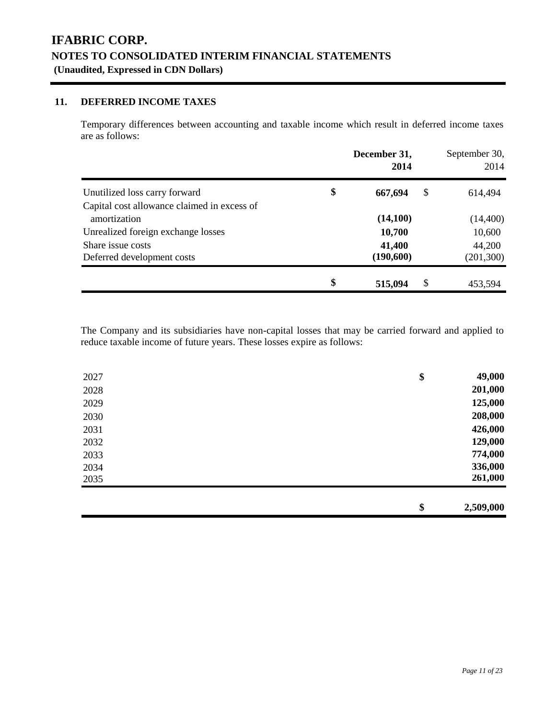### **11. DEFERRED INCOME TAXES**

Temporary differences between accounting and taxable income which result in deferred income taxes are as follows:

|                                                             | December 31,<br>2014 | September 30,<br>2014 |
|-------------------------------------------------------------|----------------------|-----------------------|
| Unutilized loss carry forward                               | \$<br>\$<br>667,694  | 614,494               |
| Capital cost allowance claimed in excess of<br>amortization | (14,100)             | (14, 400)             |
| Unrealized foreign exchange losses                          | 10,700               | 10,600                |
| Share issue costs<br>Deferred development costs             | 41,400<br>(190, 600) | 44,200<br>(201, 300)  |
|                                                             | \$<br>\$<br>515,094  | 453,594               |

The Company and its subsidiaries have non-capital losses that may be carried forward and applied to reduce taxable income of future years. These losses expire as follows:

| 2027 | 49,000<br>\$    |
|------|-----------------|
| 2028 | 201,000         |
| 2029 | 125,000         |
| 2030 | 208,000         |
| 2031 | 426,000         |
| 2032 | 129,000         |
| 2033 | 774,000         |
| 2034 | 336,000         |
| 2035 | 261,000         |
|      |                 |
|      | \$<br>2,509,000 |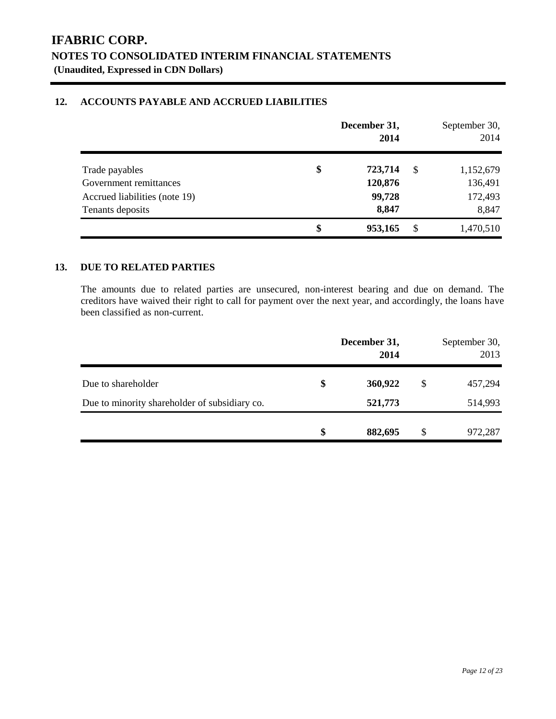### **12. ACCOUNTS PAYABLE AND ACCRUED LIABILITIES**

|                               | December 31,<br>2014 |    | September 30,<br>2014 |
|-------------------------------|----------------------|----|-----------------------|
| Trade payables                | \$<br>723,714        | -S | 1,152,679             |
| Government remittances        | 120,876              |    | 136,491               |
| Accrued liabilities (note 19) | 99,728               |    | 172,493               |
| Tenants deposits              | 8,847                |    | 8,847                 |
|                               | \$<br>953,165        | \$ | 1,470,510             |

### **13. DUE TO RELATED PARTIES**

The amounts due to related parties are unsecured, non-interest bearing and due on demand. The creditors have waived their right to call for payment over the next year, and accordingly, the loans have been classified as non-current.

|                                               | December 31,<br>2014 |               | September 30,<br>2013 |
|-----------------------------------------------|----------------------|---------------|-----------------------|
| Due to shareholder                            | \$<br>360,922        | \$            | 457,294               |
| Due to minority shareholder of subsidiary co. | 521,773              |               | 514,993               |
|                                               | \$<br>882,695        | <sup>\$</sup> | 972,287               |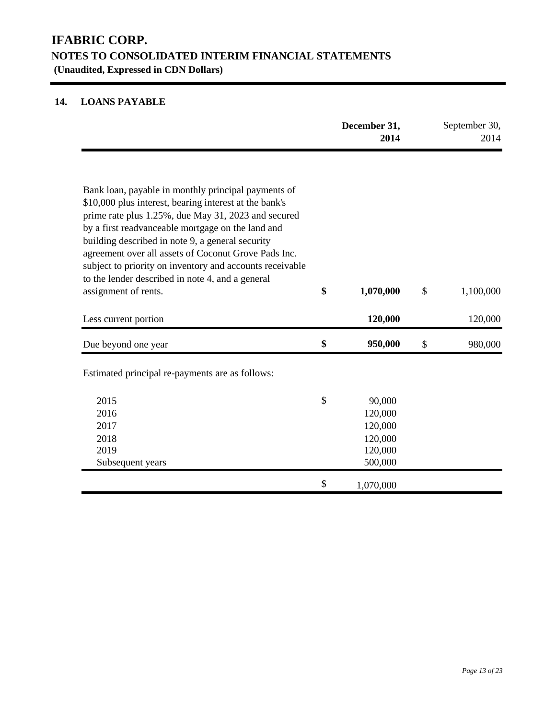## **14. LOANS PAYABLE**

|                                                                                                                                                                                                                                                                                                                                                                                                                                                                               |               | December 31,<br>2014                                          | September 30,<br>2014 |
|-------------------------------------------------------------------------------------------------------------------------------------------------------------------------------------------------------------------------------------------------------------------------------------------------------------------------------------------------------------------------------------------------------------------------------------------------------------------------------|---------------|---------------------------------------------------------------|-----------------------|
| Bank loan, payable in monthly principal payments of<br>\$10,000 plus interest, bearing interest at the bank's<br>prime rate plus 1.25%, due May 31, 2023 and secured<br>by a first readvanceable mortgage on the land and<br>building described in note 9, a general security<br>agreement over all assets of Coconut Grove Pads Inc.<br>subject to priority on inventory and accounts receivable<br>to the lender described in note 4, and a general<br>assignment of rents. | \$            | 1,070,000                                                     | \$<br>1,100,000       |
| Less current portion                                                                                                                                                                                                                                                                                                                                                                                                                                                          |               | 120,000                                                       | 120,000               |
| Due beyond one year                                                                                                                                                                                                                                                                                                                                                                                                                                                           | \$            | 950,000                                                       | \$<br>980,000         |
| Estimated principal re-payments are as follows:                                                                                                                                                                                                                                                                                                                                                                                                                               |               |                                                               |                       |
| 2015<br>2016<br>2017<br>2018<br>2019<br>Subsequent years                                                                                                                                                                                                                                                                                                                                                                                                                      | $\mathcal{S}$ | 90,000<br>120,000<br>120,000<br>120,000<br>120,000<br>500,000 |                       |
|                                                                                                                                                                                                                                                                                                                                                                                                                                                                               | \$            | 1,070,000                                                     |                       |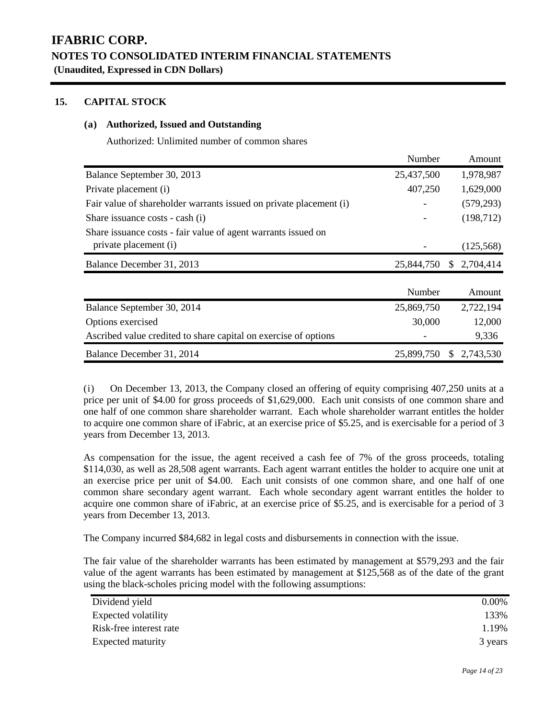### **15. CAPITAL STOCK**

### **(a) Authorized, Issued and Outstanding**

Authorized: Unlimited number of common shares

|                                                                    | Number     | Amount                     |
|--------------------------------------------------------------------|------------|----------------------------|
| Balance September 30, 2013                                         | 25,437,500 | 1,978,987                  |
| Private placement (i)                                              | 407,250    | 1,629,000                  |
| Fair value of shareholder warrants issued on private placement (i) |            | (579, 293)                 |
| Share issuance costs - cash (i)                                    |            | (198, 712)                 |
| Share issuance costs - fair value of agent warrants issued on      |            |                            |
| private placement (i)                                              |            | (125,568)                  |
| Balance December 31, 2013                                          | 25,844,750 | 2,704,414<br><sup>S</sup>  |
|                                                                    |            |                            |
|                                                                    | Number     | Amount                     |
| Balance September 30, 2014                                         | 25,869,750 | 2,722,194                  |
| Options exercised                                                  | 30,000     | 12,000                     |
| Ascribed value credited to share capital on exercise of options    |            | 9,336                      |
| Balance December 31, 2014                                          | 25,899,750 | 2,743,530<br><sup>\$</sup> |

(i) On December 13, 2013, the Company closed an offering of equity comprising 407,250 units at a price per unit of \$4.00 for gross proceeds of \$1,629,000. Each unit consists of one common share and one half of one common share shareholder warrant. Each whole shareholder warrant entitles the holder to acquire one common share of iFabric, at an exercise price of \$5.25, and is exercisable for a period of 3 years from December 13, 2013.

As compensation for the issue, the agent received a cash fee of 7% of the gross proceeds, totaling \$114,030, as well as 28,508 agent warrants. Each agent warrant entitles the holder to acquire one unit at an exercise price per unit of \$4.00. Each unit consists of one common share, and one half of one common share secondary agent warrant. Each whole secondary agent warrant entitles the holder to acquire one common share of iFabric, at an exercise price of \$5.25, and is exercisable for a period of 3 years from December 13, 2013.

The Company incurred \$84,682 in legal costs and disbursements in connection with the issue.

The fair value of the shareholder warrants has been estimated by management at \$579,293 and the fair value of the agent warrants has been estimated by management at \$125,568 as of the date of the grant using the black-scholes pricing model with the following assumptions:

| Dividend yield          | 0.00%   |
|-------------------------|---------|
| Expected volatility     | 133%    |
| Risk-free interest rate | .19%    |
| Expected maturity       | 3 years |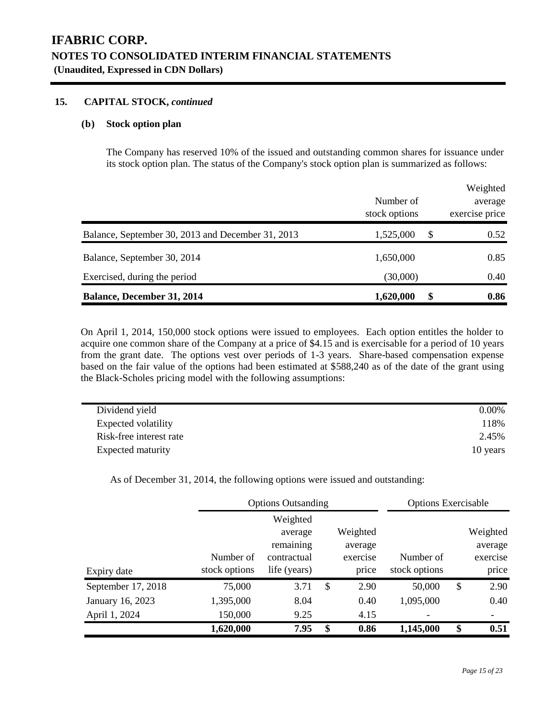### **15. CAPITAL STOCK,** *continued*

#### **(b) Stock option plan**

The Company has reserved 10% of the issued and outstanding common shares for issuance under its stock option plan. The status of the Company's stock option plan is summarized as follows:

|                                                   | Number of<br>stock options | Weighted<br>average<br>exercise price |
|---------------------------------------------------|----------------------------|---------------------------------------|
| Balance, September 30, 2013 and December 31, 2013 | 1,525,000                  | \$<br>0.52                            |
| Balance, September 30, 2014                       | 1,650,000                  | 0.85                                  |
| Exercised, during the period                      | (30,000)                   | 0.40                                  |
| <b>Balance, December 31, 2014</b>                 | 1,620,000                  | \$<br>0.86                            |

On April 1, 2014, 150,000 stock options were issued to employees. Each option entitles the holder to acquire one common share of the Company at a price of \$4.15 and is exercisable for a period of 10 years from the grant date. The options vest over periods of 1-3 years. Share-based compensation expense based on the fair value of the options had been estimated at \$588,240 as of the date of the grant using the Black-Scholes pricing model with the following assumptions:

| Dividend yield          | $0.00\%$ |
|-------------------------|----------|
| Expected volatility     | 118%     |
| Risk-free interest rate | 2.45%    |
| Expected maturity       | 10 years |

As of December 31, 2014, the following options were issued and outstanding:

|                    |               | <b>Options Outsanding</b> |            | <b>Options Exercisable</b> |            |
|--------------------|---------------|---------------------------|------------|----------------------------|------------|
|                    |               | Weighted                  |            |                            |            |
|                    |               | average                   | Weighted   |                            | Weighted   |
|                    |               | remaining                 | average    |                            | average    |
|                    | Number of     | contractual               | exercise   | Number of                  | exercise   |
| Expiry date        | stock options | life (years)              | price      | stock options              | price      |
| September 17, 2018 | 75,000        | 3.71                      | \$<br>2.90 | 50,000                     | \$<br>2.90 |
| January 16, 2023   | 1,395,000     | 8.04                      | 0.40       | 1,095,000                  | 0.40       |
| April 1, 2024      | 150,000       | 9.25                      | 4.15       |                            |            |
|                    | 1,620,000     | 7.95                      | \$<br>0.86 | 1,145,000                  | \$<br>0.51 |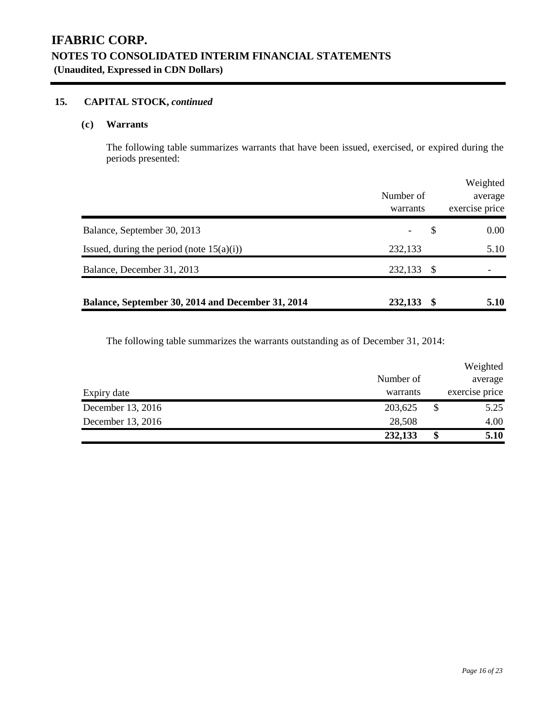### **15. CAPITAL STOCK,** *continued*

### **(c) Warrants**

The following table summarizes warrants that have been issued, exercised, or expired during the periods presented:

|                                                   |           |    | Weighted       |
|---------------------------------------------------|-----------|----|----------------|
|                                                   | Number of |    | average        |
|                                                   | warrants  |    | exercise price |
| Balance, September 30, 2013                       |           | \$ | 0.00           |
| Issued, during the period (note $15(a)(i)$ )      | 232,133   |    | 5.10           |
| Balance, December 31, 2013                        | 232,133   | -8 |                |
| Balance, September 30, 2014 and December 31, 2014 | 232,133   | S  | 5.10           |

The following table summarizes the warrants outstanding as of December 31, 2014:

|                   |           | Weighted       |
|-------------------|-----------|----------------|
|                   | Number of | average        |
| Expiry date       | warrants  | exercise price |
| December 13, 2016 | 203,625   | \$<br>5.25     |
| December 13, 2016 | 28,508    | 4.00           |
|                   | 232,133   | \$<br>5.10     |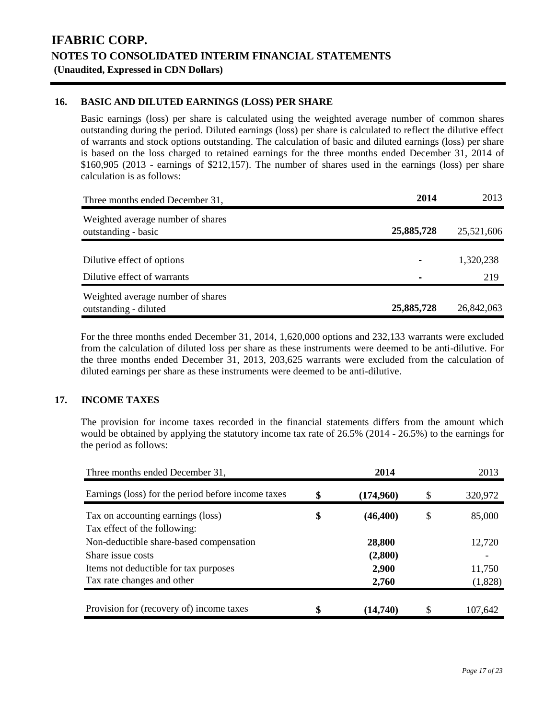### **16. BASIC AND DILUTED EARNINGS (LOSS) PER SHARE**

Basic earnings (loss) per share is calculated using the weighted average number of common shares outstanding during the period. Diluted earnings (loss) per share is calculated to reflect the dilutive effect of warrants and stock options outstanding. The calculation of basic and diluted earnings (loss) per share is based on the loss charged to retained earnings for the three months ended December 31, 2014 of \$160,905 (2013 - earnings of \$212,157). The number of shares used in the earnings (loss) per share calculation is as follows:

| Three months ended December 31,                            | 2014       | 2013       |
|------------------------------------------------------------|------------|------------|
| Weighted average number of shares<br>outstanding - basic   | 25,885,728 | 25,521,606 |
| Dilutive effect of options                                 |            | 1,320,238  |
| Dilutive effect of warrants                                |            | 219        |
| Weighted average number of shares<br>outstanding - diluted | 25,885,728 | 26,842,063 |

For the three months ended December 31, 2014, 1,620,000 options and 232,133 warrants were excluded from the calculation of diluted loss per share as these instruments were deemed to be anti-dilutive. For the three months ended December 31, 2013, 203,625 warrants were excluded from the calculation of diluted earnings per share as these instruments were deemed to be anti-dilutive.

### **17. INCOME TAXES**

The provision for income taxes recorded in the financial statements differs from the amount which would be obtained by applying the statutory income tax rate of 26.5% (2014 - 26.5%) to the earnings for the period as follows:

| Three months ended December 31,                                   | 2014            |    | 2013    |
|-------------------------------------------------------------------|-----------------|----|---------|
| Earnings (loss) for the period before income taxes                | \$<br>(174,960) | S  | 320,972 |
| Tax on accounting earnings (loss)<br>Tax effect of the following: | \$<br>(46, 400) | \$ | 85,000  |
| Non-deductible share-based compensation                           | 28,800          |    | 12,720  |
| Share issue costs                                                 | (2,800)         |    |         |
| Items not deductible for tax purposes                             | 2,900           |    | 11,750  |
| Tax rate changes and other                                        | 2,760           |    | (1,828) |
| Provision for (recovery of) income taxes                          | $(14{,}740)$    |    | 107.642 |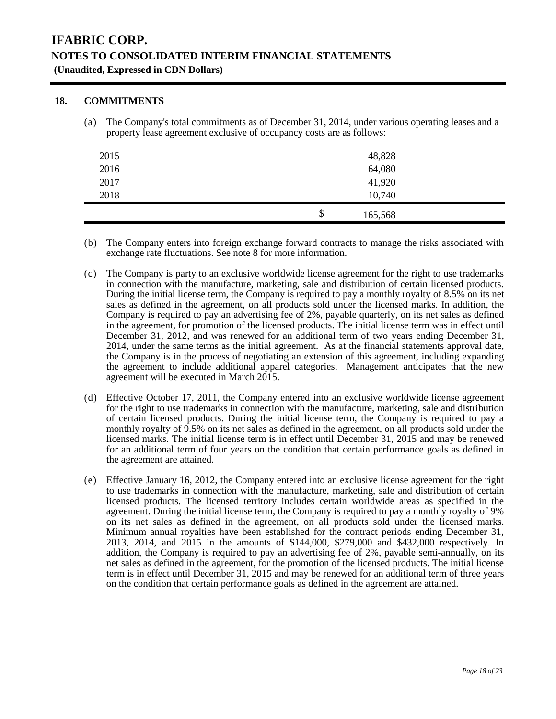### **18. COMMITMENTS**

(a) The Company's total commitments as of December 31, 2014, under various operating leases and a property lease agreement exclusive of occupancy costs are as follows:

| 2015 | 48,828        |  |
|------|---------------|--|
| 2016 | 64,080        |  |
| 2017 | 41,920        |  |
| 2018 | 10,740        |  |
|      | \$<br>165,568 |  |

- (b) The Company enters into foreign exchange forward contracts to manage the risks associated with exchange rate fluctuations. See note 8 for more information.
- (c) The Company is party to an exclusive worldwide license agreement for the right to use trademarks in connection with the manufacture, marketing, sale and distribution of certain licensed products. During the initial license term, the Company is required to pay a monthly royalty of 8.5% on its net sales as defined in the agreement, on all products sold under the licensed marks. In addition, the Company is required to pay an advertising fee of 2%, payable quarterly, on its net sales as defined in the agreement, for promotion of the licensed products. The initial license term was in effect until December 31, 2012, and was renewed for an additional term of two years ending December 31, 2014, under the same terms as the initial agreement. As at the financial statements approval date, the Company is in the process of negotiating an extension of this agreement, including expanding the agreement to include additional apparel categories. Management anticipates that the new agreement will be executed in March 2015.
- (d) Effective October 17, 2011, the Company entered into an exclusive worldwide license agreement for the right to use trademarks in connection with the manufacture, marketing, sale and distribution of certain licensed products. During the initial license term, the Company is required to pay a monthly royalty of 9.5% on its net sales as defined in the agreement, on all products sold under the licensed marks. The initial license term is in effect until December 31, 2015 and may be renewed for an additional term of four years on the condition that certain performance goals as defined in the agreement are attained.
- (e) Effective January 16, 2012, the Company entered into an exclusive license agreement for the right to use trademarks in connection with the manufacture, marketing, sale and distribution of certain licensed products. The licensed territory includes certain worldwide areas as specified in the agreement. During the initial license term, the Company is required to pay a monthly royalty of 9% on its net sales as defined in the agreement, on all products sold under the licensed marks. Minimum annual royalties have been established for the contract periods ending December 31, 2013, 2014, and 2015 in the amounts of \$144,000, \$279,000 and \$432,000 respectively. In addition, the Company is required to pay an advertising fee of 2%, payable semi-annually, on its net sales as defined in the agreement, for the promotion of the licensed products. The initial license term is in effect until December 31, 2015 and may be renewed for an additional term of three years on the condition that certain performance goals as defined in the agreement are attained.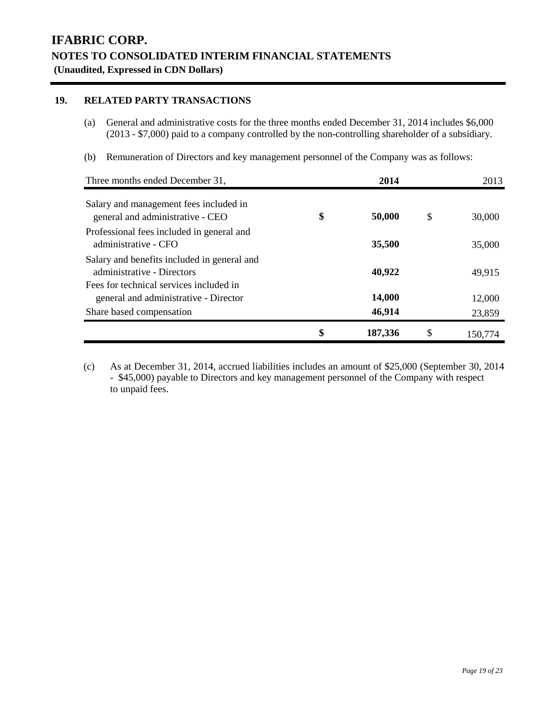### **19. RELATED PARTY TRANSACTIONS**

- (a) General and administrative costs for the three months ended December 31, 2014 includes \$6,000 (2013 - \$7,000) paid to a company controlled by the non-controlling shareholder of a subsidiary.
- (b) Remuneration of Directors and key management personnel of the Company was as follows:

| Three months ended December 31,                                                  | 2014          |     | 2013    |
|----------------------------------------------------------------------------------|---------------|-----|---------|
| Salary and management fees included in<br>general and administrative - CEO       | \$<br>50,000  | \$  | 30,000  |
| Professional fees included in general and<br>administrative - CFO                | 35,500        |     | 35,000  |
| Salary and benefits included in general and<br>administrative - Directors        | 40,922        |     | 49,915  |
| Fees for technical services included in<br>general and administrative - Director | 14,000        |     | 12,000  |
| Share based compensation                                                         | 46,914        |     | 23,859  |
|                                                                                  | \$<br>187,336 | \$. | 150.774 |

(c) As at December 31, 2014, accrued liabilities includes an amount of \$25,000 (September 30, 2014 - \$45,000) payable to Directors and key management personnel of the Company with respect to unpaid fees.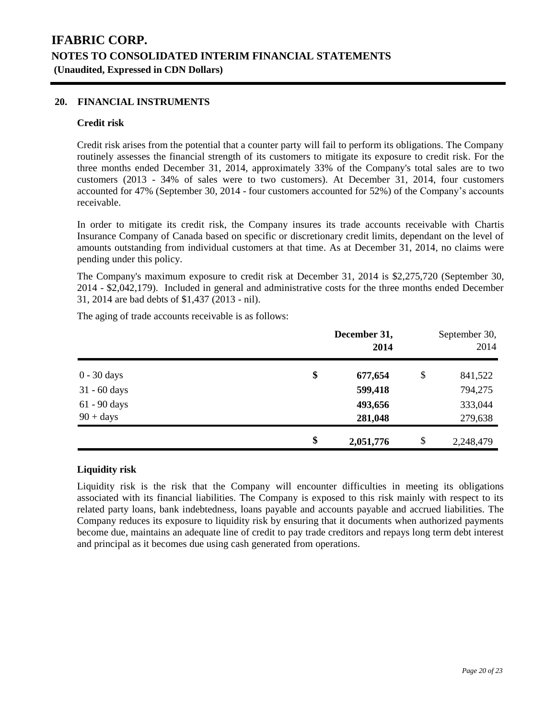### **20. FINANCIAL INSTRUMENTS**

#### **Credit risk**

Credit risk arises from the potential that a counter party will fail to perform its obligations. The Company routinely assesses the financial strength of its customers to mitigate its exposure to credit risk. For the three months ended December 31, 2014, approximately 33% of the Company's total sales are to two customers (2013 - 34% of sales were to two customers). At December 31, 2014, four customers accounted for 47% (September 30, 2014 - four customers accounted for 52%) of the Company's accounts receivable.

In order to mitigate its credit risk, the Company insures its trade accounts receivable with Chartis Insurance Company of Canada based on specific or discretionary credit limits, dependant on the level of amounts outstanding from individual customers at that time. As at December 31, 2014, no claims were pending under this policy.

The Company's maximum exposure to credit risk at December 31, 2014 is \$2,275,720 (September 30, 2014 - \$2,042,179). Included in general and administrative costs for the three months ended December 31, 2014 are bad debts of \$1,437 (2013 - nil).

The aging of trade accounts receivable is as follows:

|                | December 31,<br>2014 | September 30,<br>2014 |
|----------------|----------------------|-----------------------|
| $0 - 30$ days  | \$<br>677,654        | \$<br>841,522         |
| $31 - 60$ days | 599,418              | 794,275               |
| 61 - 90 days   | 493,656              | 333,044               |
| $90 + days$    | 281,048              | 279,638               |
|                | \$<br>2,051,776      | \$<br>2,248,479       |

### **Liquidity risk**

Liquidity risk is the risk that the Company will encounter difficulties in meeting its obligations associated with its financial liabilities. The Company is exposed to this risk mainly with respect to its related party loans, bank indebtedness, loans payable and accounts payable and accrued liabilities. The Company reduces its exposure to liquidity risk by ensuring that it documents when authorized payments become due, maintains an adequate line of credit to pay trade creditors and repays long term debt interest and principal as it becomes due using cash generated from operations.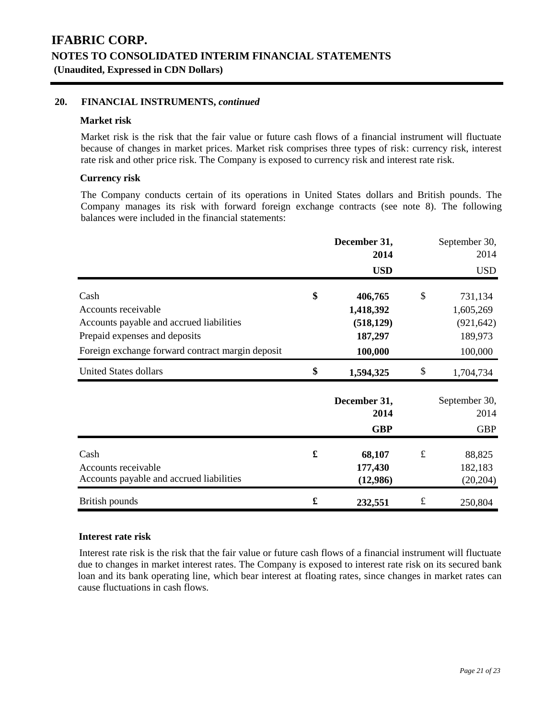### **20. FINANCIAL INSTRUMENTS,** *continued*

### **Market risk**

Market risk is the risk that the fair value or future cash flows of a financial instrument will fluctuate because of changes in market prices. Market risk comprises three types of risk: currency risk, interest rate risk and other price risk. The Company is exposed to currency risk and interest rate risk.

### **Currency risk**

The Company conducts certain of its operations in United States dollars and British pounds. The Company manages its risk with forward foreign exchange contracts (see note 8). The following balances were included in the financial statements:

|                                                  |    | December 31,<br>2014 |           | September 30,<br>2014 |
|--------------------------------------------------|----|----------------------|-----------|-----------------------|
|                                                  |    | <b>USD</b>           |           | <b>USD</b>            |
| Cash                                             | \$ | 406,765              | \$        | 731,134               |
| Accounts receivable                              |    | 1,418,392            |           | 1,605,269             |
| Accounts payable and accrued liabilities         |    | (518, 129)           |           | (921, 642)            |
| Prepaid expenses and deposits                    |    | 187,297              |           | 189,973               |
| Foreign exchange forward contract margin deposit |    | 100,000              |           | 100,000               |
| <b>United States dollars</b>                     | \$ | 1,594,325            | \$        | 1,704,734             |
|                                                  |    | December 31,         |           | September 30,         |
|                                                  |    | 2014                 |           | 2014                  |
|                                                  |    | <b>GBP</b>           |           | <b>GBP</b>            |
| Cash                                             | £  | 68,107               | $\pounds$ | 88,825                |
| Accounts receivable                              |    | 177,430              |           | 182,183               |
| Accounts payable and accrued liabilities         |    | (12,986)             |           | (20, 204)             |
| British pounds                                   | £  | 232,551              | $\pounds$ | 250,804               |

#### **Interest rate risk**

Interest rate risk is the risk that the fair value or future cash flows of a financial instrument will fluctuate due to changes in market interest rates. The Company is exposed to interest rate risk on its secured bank loan and its bank operating line, which bear interest at floating rates, since changes in market rates can cause fluctuations in cash flows.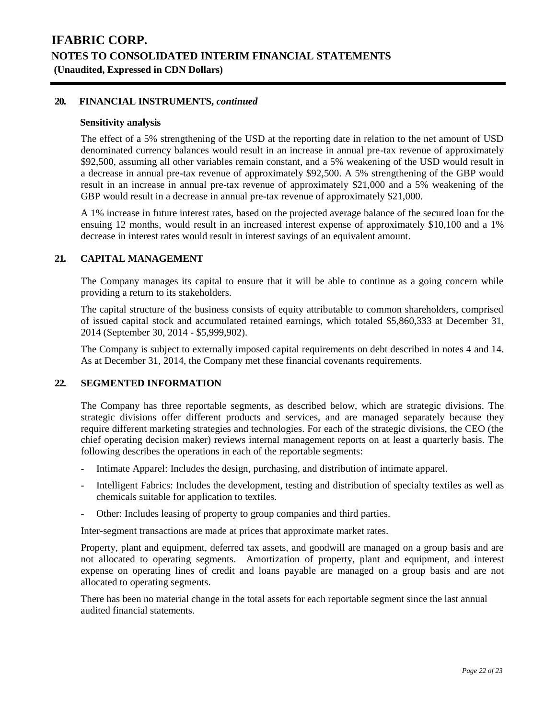#### **20. FINANCIAL INSTRUMENTS,** *continued*

#### **Sensitivity analysis**

The effect of a 5% strengthening of the USD at the reporting date in relation to the net amount of USD denominated currency balances would result in an increase in annual pre-tax revenue of approximately \$92,500, assuming all other variables remain constant, and a 5% weakening of the USD would result in a decrease in annual pre-tax revenue of approximately \$92,500. A 5% strengthening of the GBP would result in an increase in annual pre-tax revenue of approximately \$21,000 and a 5% weakening of the GBP would result in a decrease in annual pre-tax revenue of approximately \$21,000.

A 1% increase in future interest rates, based on the projected average balance of the secured loan for the ensuing 12 months, would result in an increased interest expense of approximately \$10,100 and a 1% decrease in interest rates would result in interest savings of an equivalent amount.

#### **21. CAPITAL MANAGEMENT**

The Company manages its capital to ensure that it will be able to continue as a going concern while providing a return to its stakeholders.

The capital structure of the business consists of equity attributable to common shareholders, comprised of issued capital stock and accumulated retained earnings, which totaled \$5,860,333 at December 31, 2014 (September 30, 2014 - \$5,999,902).

The Company is subject to externally imposed capital requirements on debt described in notes 4 and 14. As at December 31, 2014, the Company met these financial covenants requirements.

#### **22. SEGMENTED INFORMATION**

The Company has three reportable segments, as described below, which are strategic divisions. The strategic divisions offer different products and services, and are managed separately because they require different marketing strategies and technologies. For each of the strategic divisions, the CEO (the chief operating decision maker) reviews internal management reports on at least a quarterly basis. The following describes the operations in each of the reportable segments:

- Intimate Apparel: Includes the design, purchasing, and distribution of intimate apparel.
- Intelligent Fabrics: Includes the development, testing and distribution of specialty textiles as well as chemicals suitable for application to textiles.
- Other: Includes leasing of property to group companies and third parties.

Inter-segment transactions are made at prices that approximate market rates.

Property, plant and equipment, deferred tax assets, and goodwill are managed on a group basis and are not allocated to operating segments. Amortization of property, plant and equipment, and interest expense on operating lines of credit and loans payable are managed on a group basis and are not allocated to operating segments.

There has been no material change in the total assets for each reportable segment since the last annual audited financial statements.